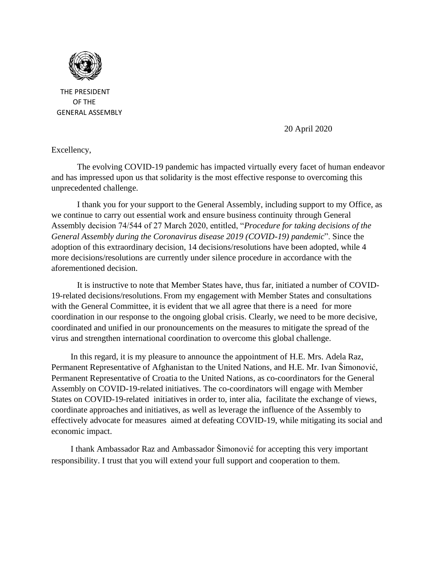

 THE PRESIDENT OF THE GENERAL ASSEMBLY

20 April 2020

Excellency,

The evolving COVID-19 pandemic has impacted virtua[lly eve](https://creativecommons.org/licenses/by-sa/3.0/)ry facet of human endeavor and has impressed upon us that solidarity is the most effective response to overcoming this unprecedented challenge.

I thank you for your support to the General Assembly, including support to my Office, as we continue to carry out essential work and ensure business continuity through General Assembly decision 74/544 of 27 March 2020, entitled, "*Procedure for taking decisions of the General Assembly during the Coronavirus disease 2019 (COVID-19) pandemic*". Since the adoption of this extraordinary decision, 14 decisions/resolutions have been adopted, while 4 more decisions/resolutions are currently under silence procedure in accordance with the aforementioned decision.

It is instructive to note that Member States have, thus far, initiated a number of COVID-19-related decisions/resolutions. From my engagement with Member States and consultations with the General Committee, it is evident that we all agree that there is a need for more coordination in our response to the ongoing global crisis. Clearly, we need to be more decisive, coordinated and unified in our pronouncements on the measures to mitigate the spread of the virus and strengthen international coordination to overcome this global challenge.

In this regard, it is my pleasure to announce the appointment of H.E. Mrs. Adela Raz, Permanent Representative of Afghanistan to the United Nations, and H.E. Mr. Ivan Šimonović, Permanent Representative of Croatia to the United Nations, as co-coordinators for the General Assembly on COVID-19-related initiatives. The co-coordinators will engage with Member States on COVID-19-related initiatives in order to, inter alia, facilitate the exchange of views, coordinate approaches and initiatives, as well as leverage the influence of the Assembly to effectively advocate for measures aimed at defeating COVID-19, while mitigating its social and economic impact.

I thank Ambassador Raz and Ambassador Šimonović for accepting this very important responsibility. I trust that you will extend your full support and cooperation to them.